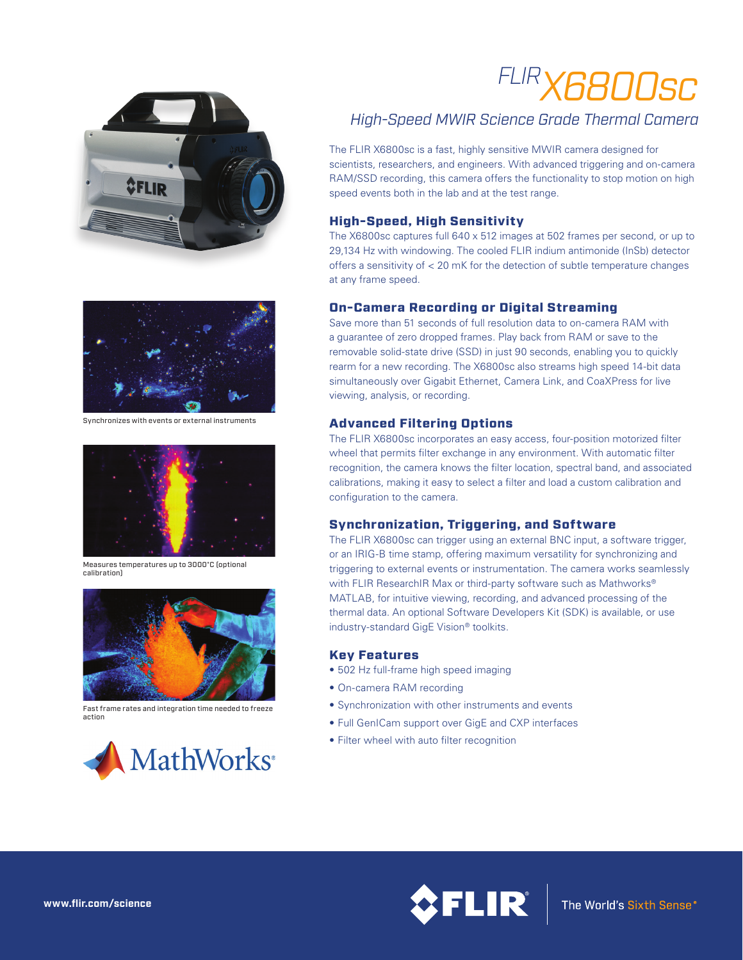



Synchronizes with events or external instruments



Measures temperatures up to 3000°C (optional calibration)



Fast frame rates and integration time needed to freeze action



# *FLIRX6800sc*

# *High-Speed MWIR Science Grade Thermal Camera*

The FLIR X6800sc is a fast, highly sensitive MWIR camera designed for scientists, researchers, and engineers. With advanced triggering and on-camera RAM/SSD recording, this camera offers the functionality to stop motion on high speed events both in the lab and at the test range.

## High-Speed, High Sensitivity

The X6800sc captures full 640 x 512 images at 502 frames per second, or up to 29,134 Hz with windowing. The cooled FLIR indium antimonide (InSb) detector offers a sensitivity of < 20 mK for the detection of subtle temperature changes at any frame speed.

## On-Camera Recording or Digital Streaming

Save more than 51 seconds of full resolution data to on-camera RAM with a guarantee of zero dropped frames. Play back from RAM or save to the removable solid-state drive (SSD) in just 90 seconds, enabling you to quickly rearm for a new recording. The X6800sc also streams high speed 14-bit data simultaneously over Gigabit Ethernet, Camera Link, and CoaXPress for live viewing, analysis, or recording.

## Advanced Filtering Options

The FLIR X6800sc incorporates an easy access, four-position motorized filter wheel that permits filter exchange in any environment. With automatic filter recognition, the camera knows the filter location, spectral band, and associated calibrations, making it easy to select a filter and load a custom calibration and configuration to the camera.

#### Synchronization, Triggering, and Software

The FLIR X6800sc can trigger using an external BNC input, a software trigger, or an IRIG-B time stamp, offering maximum versatility for synchronizing and triggering to external events or instrumentation. The camera works seamlessly with FLIR ResearchIR Max or third-party software such as Mathworks® MATLAB, for intuitive viewing, recording, and advanced processing of the thermal data. An optional Software Developers Kit (SDK) is available, or use industry-standard GigE Vision® toolkits.

#### Key Features

- 502 Hz full-frame high speed imaging
- On-camera RAM recording
- Synchronization with other instruments and events
- Full GenICam support over GigE and CXP interfaces
- Filter wheel with auto filter recognition